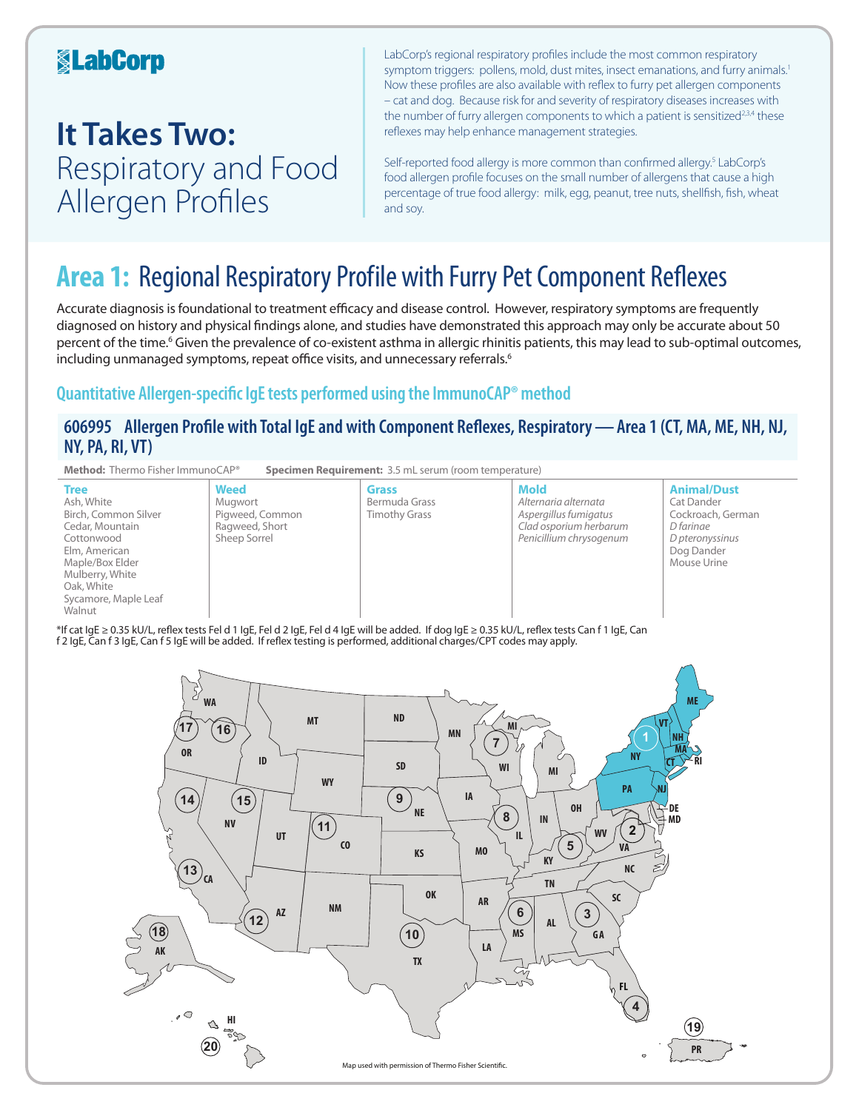## **KabCorp**

## **It Takes Two:**  Respiratory and Food Allergen Profiles

LabCorp's regional respiratory profiles include the most common respiratory symptom triggers: pollens, mold, dust mites, insect emanations, and furry animals.<sup>1</sup> Now these profiles are also available with reflex to furry pet allergen components – cat and dog. Because risk for and severity of respiratory diseases increases with the number of furry allergen components to which a patient is sensitized<sup>2,3,4</sup> these reflexes may help enhance management strategies.

Self-reported food allergy is more common than confirmed allergy.<sup>5</sup> LabCorp's food allergen profile focuses on the small number of allergens that cause a high percentage of true food allergy: milk, egg, peanut, tree nuts, shellfish, fish, wheat and soy.

## **Area 1:** Regional Respiratory Profile with Furry Pet Component Reflexes

Accurate diagnosis is foundational to treatment efficacy and disease control. However, respiratory symptoms are frequently diagnosed on history and physical findings alone, and studies have demonstrated this approach may only be accurate about 50 percent of the time.<sup>6</sup> Given the prevalence of co-existent asthma in allergic rhinitis patients, this may lead to sub-optimal outcomes, including unmanaged symptoms, repeat office visits, and unnecessary referrals.<sup>6</sup>

## **Quantitative Allergen-specific IgE tests performed using the ImmunoCAP® method**

### **606995 Allergen Profile with Total IgE and with Component Reflexes, Respiratory—Area 1 (CT, MA, ME, NH, NJ, NY, PA, RI, VT)**